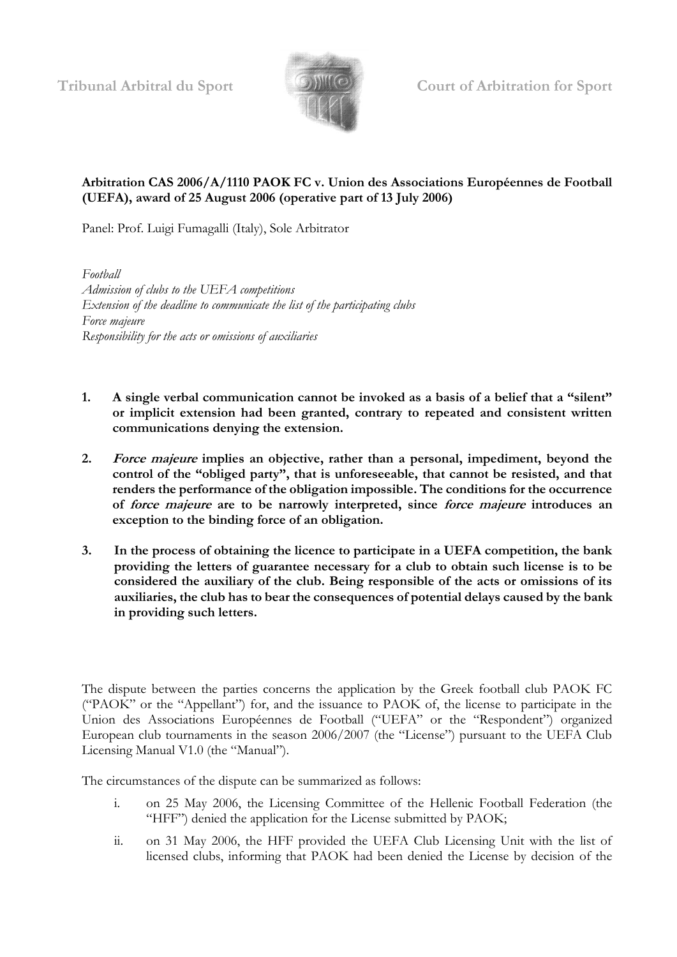

**Tribunal Arbitral du Sport Court of Arbitration for Sport**

## **Arbitration CAS 2006/A/1110 PAOK FC v. Union des Associations Européennes de Football (UEFA), award of 25 August 2006 (operative part of 13 July 2006)**

Panel: Prof. Luigi Fumagalli (Italy), Sole Arbitrator

*Football Admission of clubs to the UEFA competitions Extension of the deadline to communicate the list of the participating clubs Force majeure Responsibility for the acts or omissions of auxiliaries*

- **1. A single verbal communication cannot be invoked as a basis of a belief that a "silent" or implicit extension had been granted, contrary to repeated and consistent written communications denying the extension.**
- **2. Force majeure implies an objective, rather than a personal, impediment, beyond the control of the "obliged party", that is unforeseeable, that cannot be resisted, and that renders the performance of the obligation impossible. The conditions for the occurrence of force majeure are to be narrowly interpreted, since force majeure introduces an exception to the binding force of an obligation.**
- **3. In the process of obtaining the licence to participate in a UEFA competition, the bank providing the letters of guarantee necessary for a club to obtain such license is to be considered the auxiliary of the club. Being responsible of the acts or omissions of its auxiliaries, the club has to bear the consequences of potential delays caused by the bank in providing such letters.**

The dispute between the parties concerns the application by the Greek football club PAOK FC ("PAOK" or the "Appellant") for, and the issuance to PAOK of, the license to participate in the Union des Associations Européennes de Football ("UEFA" or the "Respondent") organized European club tournaments in the season 2006/2007 (the "License") pursuant to the UEFA Club Licensing Manual V1.0 (the "Manual").

The circumstances of the dispute can be summarized as follows:

- i. on 25 May 2006, the Licensing Committee of the Hellenic Football Federation (the "HFF") denied the application for the License submitted by PAOK;
- ii. on 31 May 2006, the HFF provided the UEFA Club Licensing Unit with the list of licensed clubs, informing that PAOK had been denied the License by decision of the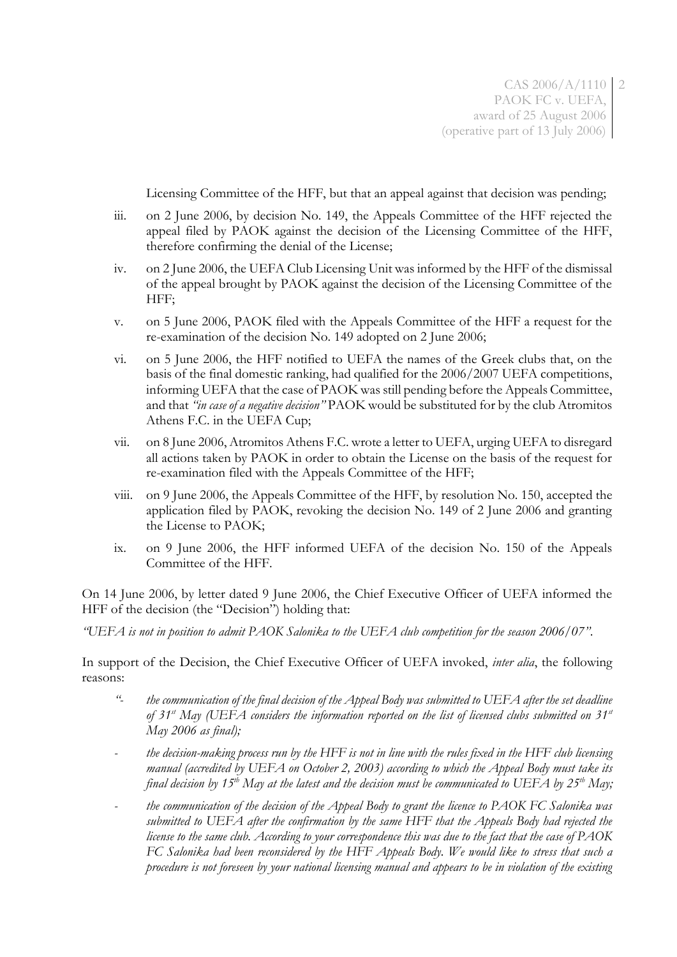Licensing Committee of the HFF, but that an appeal against that decision was pending;

- iii. on 2 June 2006, by decision No. 149, the Appeals Committee of the HFF rejected the appeal filed by PAOK against the decision of the Licensing Committee of the HFF, therefore confirming the denial of the License;
- iv. on 2 June 2006, the UEFA Club Licensing Unit was informed by the HFF of the dismissal of the appeal brought by PAOK against the decision of the Licensing Committee of the HFF;
- v. on 5 June 2006, PAOK filed with the Appeals Committee of the HFF a request for the re-examination of the decision No. 149 adopted on 2 June 2006;
- vi. on 5 June 2006, the HFF notified to UEFA the names of the Greek clubs that, on the basis of the final domestic ranking, had qualified for the 2006/2007 UEFA competitions, informing UEFA that the case of PAOK was still pending before the Appeals Committee, and that *"in case of a negative decision"* PAOK would be substituted for by the club Atromitos Athens F.C. in the UEFA Cup;
- vii. on 8 June 2006, Atromitos Athens F.C. wrote a letter to UEFA, urging UEFA to disregard all actions taken by PAOK in order to obtain the License on the basis of the request for re-examination filed with the Appeals Committee of the HFF;
- viii. on 9 June 2006, the Appeals Committee of the HFF, by resolution No. 150, accepted the application filed by PAOK, revoking the decision No. 149 of 2 June 2006 and granting the License to PAOK;
- ix. on 9 June 2006, the HFF informed UEFA of the decision No. 150 of the Appeals Committee of the HFF.

On 14 June 2006, by letter dated 9 June 2006, the Chief Executive Officer of UEFA informed the HFF of the decision (the "Decision") holding that:

*"UEFA is not in position to admit PAOK Salonika to the UEFA club competition for the season 2006/07"*.

In support of the Decision, the Chief Executive Officer of UEFA invoked, *inter alia*, the following reasons:

- *"- the communication of the final decision of the Appeal Body was submitted to UEFA after the set deadline of 31st May (UEFA considers the information reported on the list of licensed clubs submitted on 31st May 2006 as final);*
- *- the decision-making process run by the HFF is not in line with the rules fixed in the HFF club licensing manual (accredited by UEFA on October 2, 2003) according to which the Appeal Body must take its final decision by 15th May at the latest and the decision must be communicated to UEFA by 25th May;*
- *- the communication of the decision of the Appeal Body to grant the licence to PAOK FC Salonika was submitted to UEFA after the confirmation by the same HFF that the Appeals Body had rejected the license to the same club. According to your correspondence this was due to the fact that the case of PAOK FC Salonika had been reconsidered by the HFF Appeals Body. We would like to stress that such a procedure is not foreseen by your national licensing manual and appears to be in violation of the existing*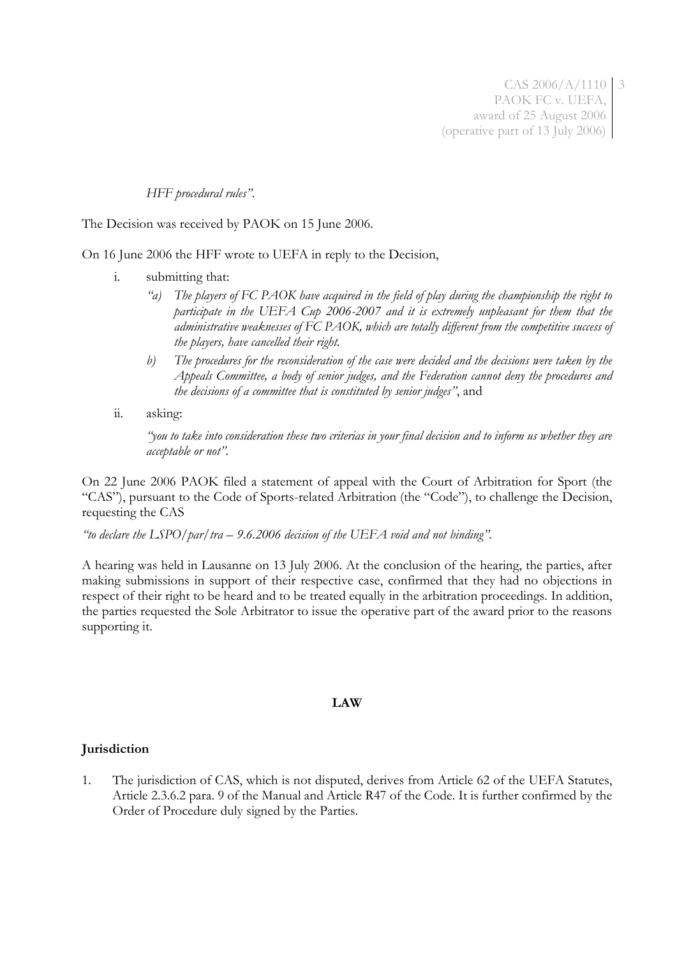CAS 2006/A/1110 3 PAOK FC v. UEFA, award of 25 August 2006 (operative part of 13 July 2006)

### *HFF procedural rules"*.

The Decision was received by PAOK on 15 June 2006.

On 16 June 2006 the HFF wrote to UEFA in reply to the Decision,

- i. submitting that:
	- *"a) The players of FC PAOK have acquired in the field of play during the championship the right to participate in the UEFA Cup 2006-2007 and it is extremely unpleasant for them that the administrative weaknesses of FC PAOK, which are totally different from the competitive success of the players, have cancelled their right.*
	- *b) The procedures for the reconsideration of the case were decided and the decisions were taken by the Appeals Committee, a body of senior judges, and the Federation cannot deny the procedures and the decisions of a committee that is constituted by senior judges"*, and
- ii. asking:

*"you to take into consideration these two criterias in your final decision and to inform us whether they are acceptable or not".*

On 22 June 2006 PAOK filed a statement of appeal with the Court of Arbitration for Sport (the "CAS"), pursuant to the Code of Sports-related Arbitration (the "Code"), to challenge the Decision, requesting the CAS

*"to declare the LSPO/par/tra – 9.6.2006 decision of the UEFA void and not binding"*.

A hearing was held in Lausanne on 13 July 2006. At the conclusion of the hearing, the parties, after making submissions in support of their respective case, confirmed that they had no objections in respect of their right to be heard and to be treated equally in the arbitration proceedings. In addition, the parties requested the Sole Arbitrator to issue the operative part of the award prior to the reasons supporting it.

### **LAW**

### **Jurisdiction**

1. The jurisdiction of CAS, which is not disputed, derives from Article 62 of the UEFA Statutes, Article 2.3.6.2 para. 9 of the Manual and Article R47 of the Code. It is further confirmed by the Order of Procedure duly signed by the Parties.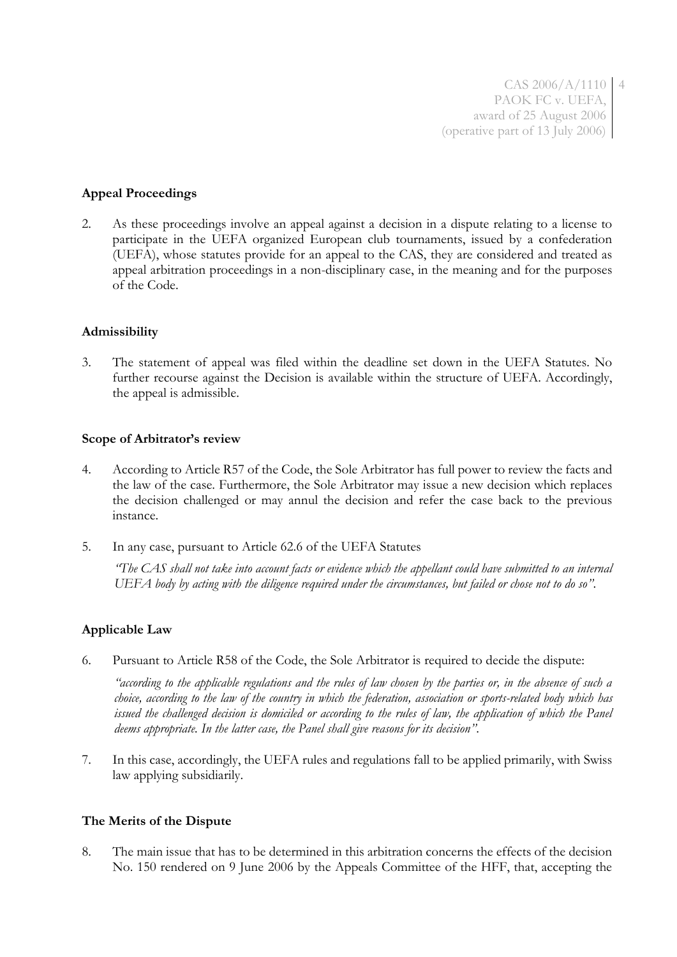CAS 2006/A/1110 4 PAOK FC v. UEFA, award of 25 August 2006 (operative part of 13 July 2006)

### **Appeal Proceedings**

2. As these proceedings involve an appeal against a decision in a dispute relating to a license to participate in the UEFA organized European club tournaments, issued by a confederation (UEFA), whose statutes provide for an appeal to the CAS, they are considered and treated as appeal arbitration proceedings in a non-disciplinary case, in the meaning and for the purposes of the Code.

#### **Admissibility**

3. The statement of appeal was filed within the deadline set down in the UEFA Statutes. No further recourse against the Decision is available within the structure of UEFA. Accordingly, the appeal is admissible.

#### **Scope of Arbitrator's review**

- 4. According to Article R57 of the Code, the Sole Arbitrator has full power to review the facts and the law of the case. Furthermore, the Sole Arbitrator may issue a new decision which replaces the decision challenged or may annul the decision and refer the case back to the previous instance.
- 5. In any case, pursuant to Article 62.6 of the UEFA Statutes

*"The CAS shall not take into account facts or evidence which the appellant could have submitted to an internal UEFA body by acting with the diligence required under the circumstances, but failed or chose not to do so"*.

#### **Applicable Law**

6. Pursuant to Article R58 of the Code, the Sole Arbitrator is required to decide the dispute:

*"according to the applicable regulations and the rules of law chosen by the parties or, in the absence of such a choice, according to the law of the country in which the federation, association or sports-related body which has issued the challenged decision is domiciled or according to the rules of law, the application of which the Panel deems appropriate. In the latter case, the Panel shall give reasons for its decision"*.

7. In this case, accordingly, the UEFA rules and regulations fall to be applied primarily, with Swiss law applying subsidiarily.

#### **The Merits of the Dispute**

8. The main issue that has to be determined in this arbitration concerns the effects of the decision No. 150 rendered on 9 June 2006 by the Appeals Committee of the HFF, that, accepting the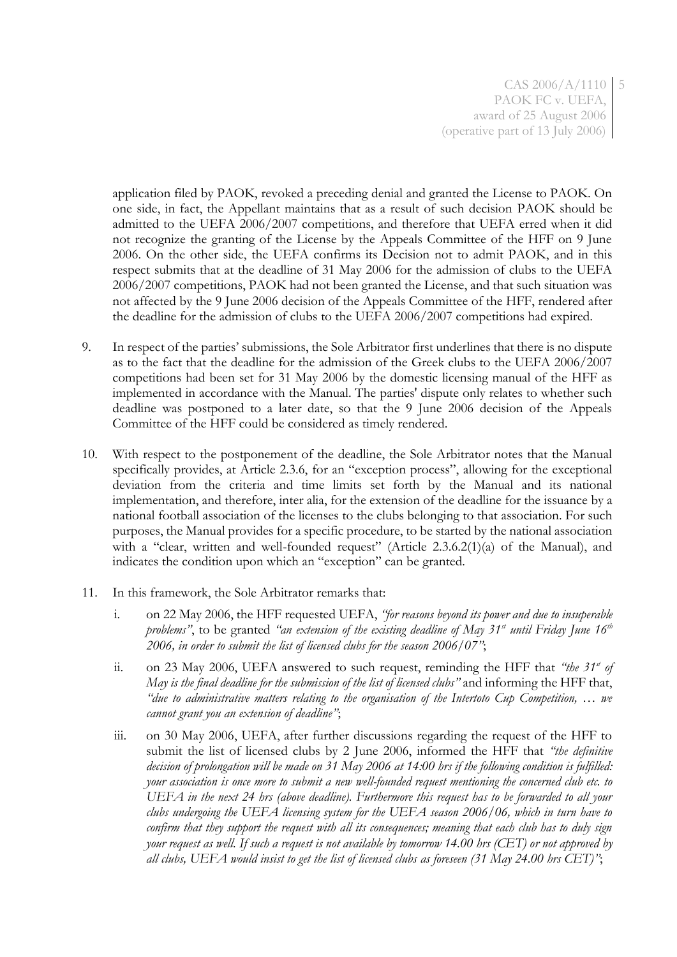application filed by PAOK, revoked a preceding denial and granted the License to PAOK. On one side, in fact, the Appellant maintains that as a result of such decision PAOK should be admitted to the UEFA 2006/2007 competitions, and therefore that UEFA erred when it did not recognize the granting of the License by the Appeals Committee of the HFF on 9 June 2006. On the other side, the UEFA confirms its Decision not to admit PAOK, and in this respect submits that at the deadline of 31 May 2006 for the admission of clubs to the UEFA 2006/2007 competitions, PAOK had not been granted the License, and that such situation was not affected by the 9 June 2006 decision of the Appeals Committee of the HFF, rendered after the deadline for the admission of clubs to the UEFA 2006/2007 competitions had expired.

- 9. In respect of the parties' submissions, the Sole Arbitrator first underlines that there is no dispute as to the fact that the deadline for the admission of the Greek clubs to the UEFA 2006/2007 competitions had been set for 31 May 2006 by the domestic licensing manual of the HFF as implemented in accordance with the Manual. The parties' dispute only relates to whether such deadline was postponed to a later date, so that the 9 June 2006 decision of the Appeals Committee of the HFF could be considered as timely rendered.
- 10. With respect to the postponement of the deadline, the Sole Arbitrator notes that the Manual specifically provides, at Article 2.3.6, for an "exception process", allowing for the exceptional deviation from the criteria and time limits set forth by the Manual and its national implementation, and therefore, inter alia, for the extension of the deadline for the issuance by a national football association of the licenses to the clubs belonging to that association. For such purposes, the Manual provides for a specific procedure, to be started by the national association with a "clear, written and well-founded request" (Article 2.3.6.2(1)(a) of the Manual), and indicates the condition upon which an "exception" can be granted.
- 11. In this framework, the Sole Arbitrator remarks that:
	- i. on 22 May 2006, the HFF requested UEFA, *"for reasons beyond its power and due to insuperable problems"*, to be granted *"an extension of the existing deadline of May 31st until Friday June 16th 2006, in order to submit the list of licensed clubs for the season 2006/07"*;
	- ii. on 23 May 2006, UEFA answered to such request, reminding the HFF that *"the* 31<sup>*st of*</sup> *May is the final deadline for the submission of the list of licensed clubs"* and informing the HFF that, *"due to administrative matters relating to the organisation of the Intertoto Cup Competition, … we cannot grant you an extension of deadline"*;
	- iii. on 30 May 2006, UEFA, after further discussions regarding the request of the HFF to submit the list of licensed clubs by 2 June 2006, informed the HFF that *"the definitive decision of prolongation will be made on 31 May 2006 at 14:00 hrs if the following condition is fulfilled: your association is once more to submit a new well-founded request mentioning the concerned club etc. to UEFA in the next 24 hrs (above deadline). Furthermore this request has to be forwarded to all your clubs undergoing the UEFA licensing system for the UEFA season 2006/06, which in turn have to confirm that they support the request with all its consequences; meaning that each club has to duly sign your request as well. If such a request is not available by tomorrow 14.00 hrs (CET) or not approved by all clubs, UEFA would insist to get the list of licensed clubs as foreseen (31 May 24.00 hrs CET)"*;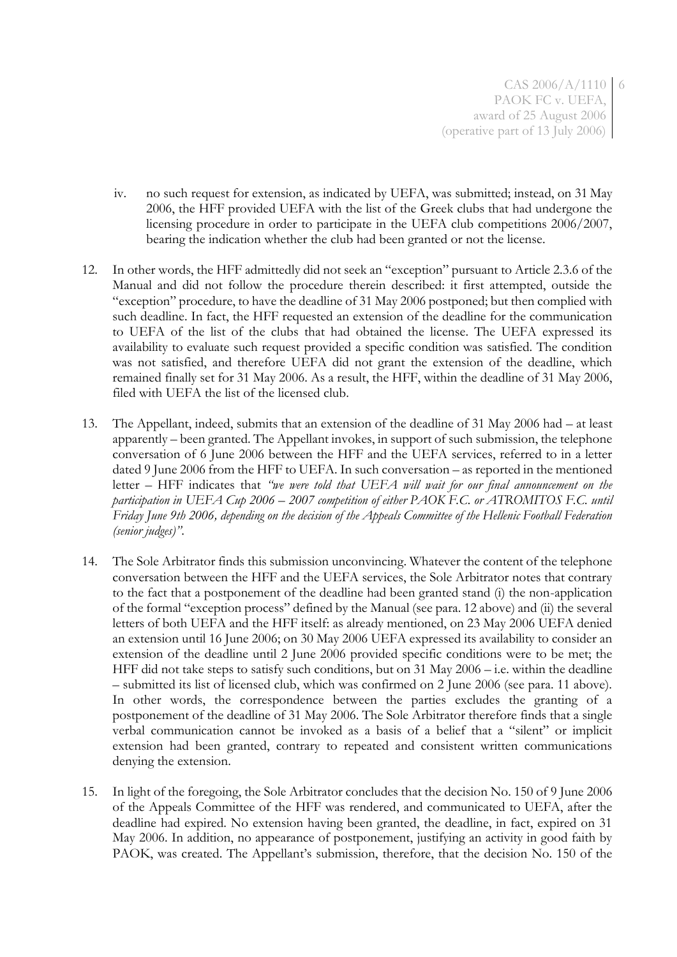- iv. no such request for extension, as indicated by UEFA, was submitted; instead, on 31 May 2006, the HFF provided UEFA with the list of the Greek clubs that had undergone the licensing procedure in order to participate in the UEFA club competitions 2006/2007, bearing the indication whether the club had been granted or not the license.
- 12. In other words, the HFF admittedly did not seek an "exception" pursuant to Article 2.3.6 of the Manual and did not follow the procedure therein described: it first attempted, outside the "exception" procedure, to have the deadline of 31 May 2006 postponed; but then complied with such deadline. In fact, the HFF requested an extension of the deadline for the communication to UEFA of the list of the clubs that had obtained the license. The UEFA expressed its availability to evaluate such request provided a specific condition was satisfied. The condition was not satisfied, and therefore UEFA did not grant the extension of the deadline, which remained finally set for 31 May 2006. As a result, the HFF, within the deadline of 31 May 2006, filed with UEFA the list of the licensed club.
- 13. The Appellant, indeed, submits that an extension of the deadline of 31 May 2006 had at least apparently – been granted. The Appellant invokes, in support of such submission, the telephone conversation of 6 June 2006 between the HFF and the UEFA services, referred to in a letter dated 9 June 2006 from the HFF to UEFA. In such conversation – as reported in the mentioned letter – HFF indicates that *"we were told that UEFA will wait for our final announcement on the participation in UEFA Cup 2006 – 2007 competition of either PAOK F.C. or ATROMITOS F.C. until Friday June 9th 2006, depending on the decision of the Appeals Committee of the Hellenic Football Federation (senior judges)"*.
- 14. The Sole Arbitrator finds this submission unconvincing. Whatever the content of the telephone conversation between the HFF and the UEFA services, the Sole Arbitrator notes that contrary to the fact that a postponement of the deadline had been granted stand (i) the non-application of the formal "exception process" defined by the Manual (see para. 12 above) and (ii) the several letters of both UEFA and the HFF itself: as already mentioned, on 23 May 2006 UEFA denied an extension until 16 June 2006; on 30 May 2006 UEFA expressed its availability to consider an extension of the deadline until 2 June 2006 provided specific conditions were to be met; the HFF did not take steps to satisfy such conditions, but on 31 May 2006 – i.e. within the deadline – submitted its list of licensed club, which was confirmed on 2 June 2006 (see para. 11 above). In other words, the correspondence between the parties excludes the granting of a postponement of the deadline of 31 May 2006. The Sole Arbitrator therefore finds that a single verbal communication cannot be invoked as a basis of a belief that a "silent" or implicit extension had been granted, contrary to repeated and consistent written communications denying the extension.
- 15. In light of the foregoing, the Sole Arbitrator concludes that the decision No. 150 of 9 June 2006 of the Appeals Committee of the HFF was rendered, and communicated to UEFA, after the deadline had expired. No extension having been granted, the deadline, in fact, expired on 31 May 2006. In addition, no appearance of postponement, justifying an activity in good faith by PAOK, was created. The Appellant's submission, therefore, that the decision No. 150 of the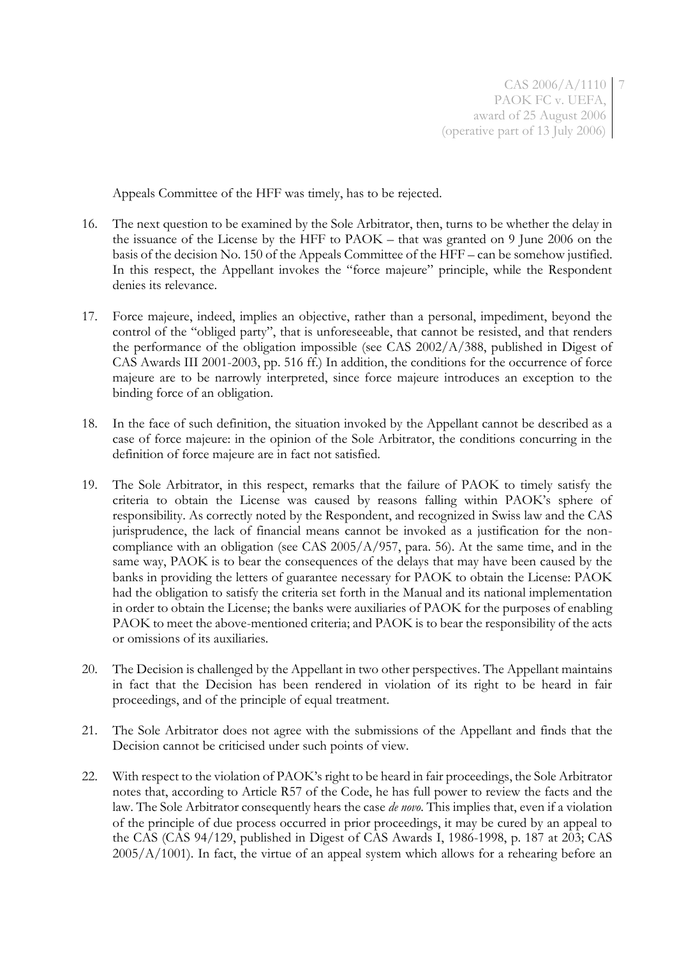Appeals Committee of the HFF was timely, has to be rejected.

- 16. The next question to be examined by the Sole Arbitrator, then, turns to be whether the delay in the issuance of the License by the HFF to PAOK – that was granted on 9 June 2006 on the basis of the decision No. 150 of the Appeals Committee of the HFF – can be somehow justified. In this respect, the Appellant invokes the "force majeure" principle, while the Respondent denies its relevance.
- 17. Force majeure, indeed, implies an objective, rather than a personal, impediment, beyond the control of the "obliged party", that is unforeseeable, that cannot be resisted, and that renders the performance of the obligation impossible (see CAS 2002/A/388, published in Digest of CAS Awards III 2001-2003, pp. 516 ff.) In addition, the conditions for the occurrence of force majeure are to be narrowly interpreted, since force majeure introduces an exception to the binding force of an obligation.
- 18. In the face of such definition, the situation invoked by the Appellant cannot be described as a case of force majeure: in the opinion of the Sole Arbitrator, the conditions concurring in the definition of force majeure are in fact not satisfied.
- 19. The Sole Arbitrator, in this respect, remarks that the failure of PAOK to timely satisfy the criteria to obtain the License was caused by reasons falling within PAOK's sphere of responsibility. As correctly noted by the Respondent, and recognized in Swiss law and the CAS jurisprudence, the lack of financial means cannot be invoked as a justification for the noncompliance with an obligation (see CAS 2005/A/957, para. 56). At the same time, and in the same way, PAOK is to bear the consequences of the delays that may have been caused by the banks in providing the letters of guarantee necessary for PAOK to obtain the License: PAOK had the obligation to satisfy the criteria set forth in the Manual and its national implementation in order to obtain the License; the banks were auxiliaries of PAOK for the purposes of enabling PAOK to meet the above-mentioned criteria; and PAOK is to bear the responsibility of the acts or omissions of its auxiliaries.
- 20. The Decision is challenged by the Appellant in two other perspectives. The Appellant maintains in fact that the Decision has been rendered in violation of its right to be heard in fair proceedings, and of the principle of equal treatment.
- 21. The Sole Arbitrator does not agree with the submissions of the Appellant and finds that the Decision cannot be criticised under such points of view.
- 22. With respect to the violation of PAOK's right to be heard in fair proceedings, the Sole Arbitrator notes that, according to Article R57 of the Code, he has full power to review the facts and the law. The Sole Arbitrator consequently hears the case *de novo*. This implies that, even if a violation of the principle of due process occurred in prior proceedings, it may be cured by an appeal to the CAS (CAS 94/129, published in Digest of CAS Awards I, 1986-1998, p. 187 at 203; CAS  $2005/A/1001$ ). In fact, the virtue of an appeal system which allows for a rehearing before an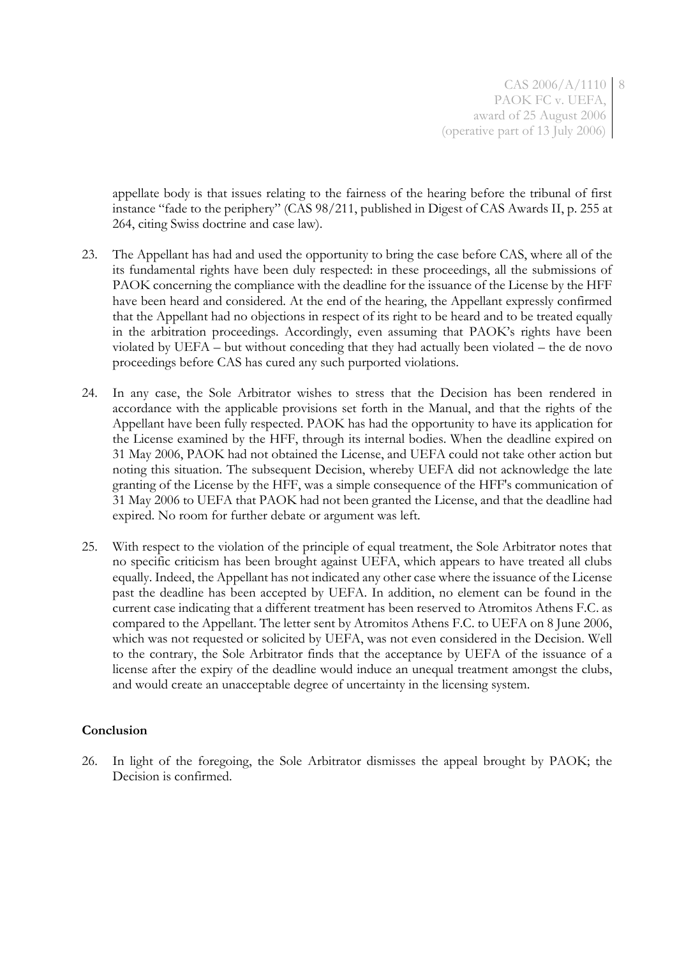CAS 2006/A/1110 8 PAOK FC v. UEFA, award of 25 August 2006 (operative part of 13 July 2006)

appellate body is that issues relating to the fairness of the hearing before the tribunal of first instance "fade to the periphery" (CAS 98/211, published in Digest of CAS Awards II, p. 255 at 264, citing Swiss doctrine and case law).

- 23. The Appellant has had and used the opportunity to bring the case before CAS, where all of the its fundamental rights have been duly respected: in these proceedings, all the submissions of PAOK concerning the compliance with the deadline for the issuance of the License by the HFF have been heard and considered. At the end of the hearing, the Appellant expressly confirmed that the Appellant had no objections in respect of its right to be heard and to be treated equally in the arbitration proceedings. Accordingly, even assuming that PAOK's rights have been violated by UEFA – but without conceding that they had actually been violated – the de novo proceedings before CAS has cured any such purported violations.
- 24. In any case, the Sole Arbitrator wishes to stress that the Decision has been rendered in accordance with the applicable provisions set forth in the Manual, and that the rights of the Appellant have been fully respected. PAOK has had the opportunity to have its application for the License examined by the HFF, through its internal bodies. When the deadline expired on 31 May 2006, PAOK had not obtained the License, and UEFA could not take other action but noting this situation. The subsequent Decision, whereby UEFA did not acknowledge the late granting of the License by the HFF, was a simple consequence of the HFF's communication of 31 May 2006 to UEFA that PAOK had not been granted the License, and that the deadline had expired. No room for further debate or argument was left.
- 25. With respect to the violation of the principle of equal treatment, the Sole Arbitrator notes that no specific criticism has been brought against UEFA, which appears to have treated all clubs equally. Indeed, the Appellant has not indicated any other case where the issuance of the License past the deadline has been accepted by UEFA. In addition, no element can be found in the current case indicating that a different treatment has been reserved to Atromitos Athens F.C. as compared to the Appellant. The letter sent by Atromitos Athens F.C. to UEFA on 8 June 2006, which was not requested or solicited by UEFA, was not even considered in the Decision. Well to the contrary, the Sole Arbitrator finds that the acceptance by UEFA of the issuance of a license after the expiry of the deadline would induce an unequal treatment amongst the clubs, and would create an unacceptable degree of uncertainty in the licensing system.

### **Conclusion**

26. In light of the foregoing, the Sole Arbitrator dismisses the appeal brought by PAOK; the Decision is confirmed.